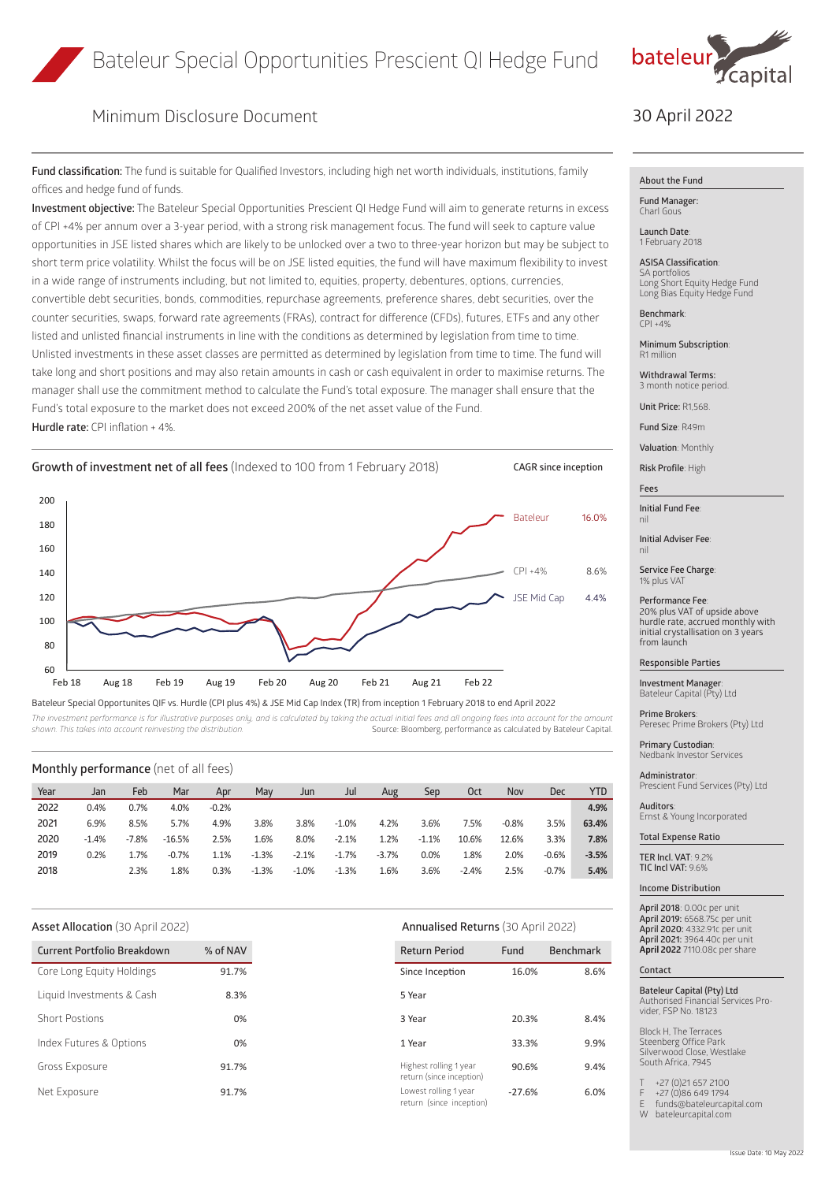

# Minimum Disclosure Document

**Fund classification:** The fund is suitable for Qualified Investors, including high net worth individuals, institutions, family offices and hedge fund of funds.

**Investment objective:** The Bateleur Special Opportunities Prescient QI Hedge Fund will aim to generate returns in excess of CPI +4% per annum over a 3-year period, with a strong risk management focus. The fund will seek to capture value opportunities in JSE listed shares which are likely to be unlocked over a two to three-year horizon but may be subject to short term price volatility. Whilst the focus will be on JSE listed equities, the fund will have maximum flexibility to invest in a wide range of instruments including, but not limited to, equities, property, debentures, options, currencies, convertible debt securities, bonds, commodities, repurchase agreements, preference shares, debt securities, over the counter securities, swaps, forward rate agreements (FRAs), contract for difference (CFDs), futures, ETFs and any other listed and unlisted financial instruments in line with the conditions as determined by legislation from time to time. Unlisted investments in these asset classes are permitted as determined by legislation from time to time. The fund will take long and short positions and may also retain amounts in cash or cash equivalent in order to maximise returns. The manager shall use the commitment method to calculate the Fund's total exposure. The manager shall ensure that the Fund's total exposure to the market does not exceed 200% of the net asset value of the Fund. **Hurdle rate:** CPI inflation + 4%.



Bateleur Special Opportunites QIF vs. Hurdle (CPI plus 4%) & JSE Mid Cap Index (TR) from inception 1 February 2018 to end April 2022

The investment performance is for illustrative purposes only, and is calculated by taking the actual initial fees and all ongoing fees into account for the amount **incel and a calculated by tateleur** Capital shown. This ta *shown. This takes into account reinvesting the distribution.* Source: Bloomberg, performance as calculated by Bateleur Capital.

### **Monthly performance** (net of all fees)

| Year | Jan     | Feb     | Mar      | Apr     | Mav     | Jun     | Jul     | Aug     | Sep     | 0ct     | Nov     | Dec     | YTD     |
|------|---------|---------|----------|---------|---------|---------|---------|---------|---------|---------|---------|---------|---------|
| 2022 | 0.4%    | 0.7%    | 4.0%     | $-0.2%$ |         |         |         |         |         |         |         |         | 4.9%    |
| 2021 | 6.9%    | 8.5%    | 5.7%     | 4.9%    | 3.8%    | 3.8%    | $-1.0%$ | 4.2%    | 3.6%    | 7.5%    | $-0.8%$ | 3.5%    | 63.4%   |
| 2020 | $-1.4%$ | $-7.8%$ | $-16.5%$ | 2.5%    | 1.6%    | 8.0%    | $-2.1%$ | 1.2%    | $-1.1%$ | 10.6%   | 12.6%   | 3.3%    | 7.8%    |
| 2019 | 0.2%    | 1.7%    | $-0.7%$  | 1.1%    | $-1.3%$ | $-2.1%$ | $-1.7%$ | $-3.7%$ | 0.0%    | 1.8%    | 2.0%    | $-0.6%$ | $-3.5%$ |
| 2018 |         | 2.3%    | 1.8%     | 0.3%    | $-1.3%$ | $-1.0%$ | $-1.3%$ | 1.6%    | 3.6%    | $-2.4%$ | 2.5%    | $-0.7%$ | 5.4%    |

| <b>Current Portfolio Breakdown</b> | % of NAV |
|------------------------------------|----------|
|                                    | 91.7%    |
| 8.3%                               |          |
| 0%                                 |          |
| 0%                                 |          |
| 91.7%                              |          |
| 91.7%                              |          |

## **Asset Allocation** (30 April 2022) **Annualised Returns** (30 April 2022)

| <b>Return Period</b>                               | Fund     | <b>Benchmark</b> |  |  |
|----------------------------------------------------|----------|------------------|--|--|
| Since Inception                                    | 16.0%    | 8.6%             |  |  |
| 5 Year                                             |          |                  |  |  |
| 3 Year                                             | 20.3%    | 8.4%             |  |  |
| 1 Year                                             | 33.3%    | 9.9%             |  |  |
| Highest rolling 1 year<br>return (since inception) | 90.6%    | 9.4%             |  |  |
| Lowest rolling 1 year<br>return (since inception)  | $-27.6%$ | 6.0%             |  |  |

# 30 April 2022

### **About the Fund**

**Fund Manager:** Charl Gous

**Launch Date**: 1 February 2018

**ASISA Classification**: SA portfol Long Short Equity Hedge Fund Long Bias Equity Hedge Fund

**Benchmark**:  $\Gamma$ PI +4%

**Minimum Subscription**: R1 million

**Withdrawal Terms:** 3 month notice period.

**Unit Price:** R1,568.

**Fund Size**: R49m

**Valuation**: Monthly

**Risk Profile**: High

**Fees**

**Initial Fund Fee**: nil

**Initial Adviser Fee**: nil

**Service Fee Charge**: 1% plus VAT

**Performance Fee**: 20% plus VAT of upside above hurdle rate, accrued monthly with initial crystallisation on 3 years from launch

#### **Responsible Parties**

**Investment Manager**: Bateleur Capital (Pty) Ltd

**Prime Brokers**: Peresec Prime Brokers (Pty) Ltd

**Primary Custodian**: Nedbank Investor Services

**Administrator**: Prescient Fund Services (Pty) Ltd

**Auditors**: Ernst & Young Incorporated

**Total Expense Ratio**

**TER Incl. VAT**: 9.2% **TIC Incl VAT:** 9.6%

**Income Distribution**

**April 2018**: 0.00c per unit **April 2019:** 6568.75c per unit **April 2020:** 4332.91c per unit **April 2021:** 3964.40c per unit **April 2022** 7110.08c per share

#### **Contact**

**Bateleur Capital (Pty) Ltd** Authorised Financial Services Provider, FSP No. 18123

Block H, The Terraces Steenberg Office Park Silverwood Close, Westlake South Africa, 7945

+27 (0)21 657 2100 F +27 (0)86 649 1794

E funds@bateleurcapital.com

W bateleurcapital.com